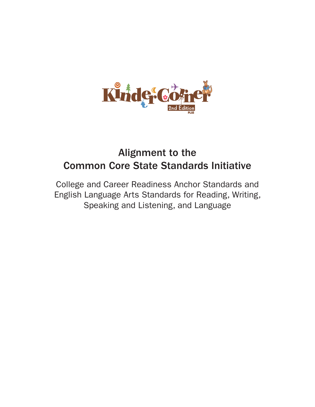

# Alignment to the Common Core State Standards Initiative

College and Career Readiness Anchor Standards and English Language Arts Standards for Reading, Writing, Speaking and Listening, and Language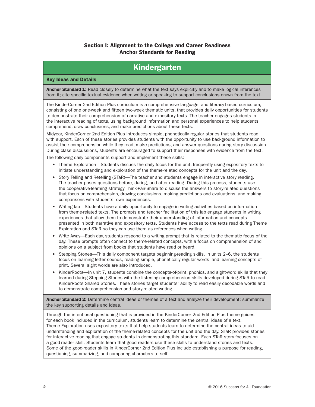### Section I: Alignment to the College and Career Readiness Anchor Standards for Reading

## Kindergarten

#### Key Ideas and Details

Anchor Standard 1: Read closely to determine what the text says explicitly and to make logical inferences from it; cite specific textual evidence when writing or speaking to support conclusions drawn from the text.

The KinderCorner 2nd Edition Plus curriculum is a comprehensive language- and literacy-based curriculum, consisting of one one-week and fifteen two-week thematic units, that provides daily opportunities for students to demonstrate their comprehension of narrative and expository texts. The teacher engages students in the interactive reading of texts, using background information and personal experiences to help students comprehend, draw conclusions, and make predictions about these texts.

Midyear, KinderCorner 2nd Edition Plus introduces simple, phonetically regular stories that students read with support. Each of these stories provides students with the opportunity to use background information to assist their comprehension while they read, make predictions, and answer questions during story discussion. During class discussions, students are encouraged to support their responses with evidence from the text.

The following daily components support and implement these skills:

- Theme Exploration—Students discuss the daily focus for the unit, frequently using expository texts to initiate understanding and exploration of the theme-related concepts for the unit and the day.
- Story Telling and Retelling (STaR)—The teacher and students engage in interactive story reading. The teacher poses questions before, during, and after reading. During this process, students use the cooperative-learning strategy Think-Pair-Share to discuss the answers to story-related questions that focus on comprehension, drawing conclusions, making predictions and evaluations, and making comparisons with students' own experiences.
- Writing lab—Students have a daily opportunity to engage in writing activities based on information from theme-related texts. The prompts and teacher facilitation of this lab engage students in writing experiences that allow them to demonstrate their understanding of information and concepts presented in both narrative and expository texts. Students have access to the texts read during Theme Exploration and STaR so they can use them as references when writing.
- Write Away—Each day, students respond to a writing prompt that is related to the thematic focus of the day. These prompts often connect to theme-related concepts, with a focus on comprehension of and opinions on a subject from books that students have read or heard.
- Stepping Stones—This daily component targets beginning-reading skills. In units 2–6, the students focus on learning letter sounds, reading simple, phonetically regular words, and learning concepts of print. Several sight words are also introduced.
- KinderRoots—In unit 7, students combine the concepts-of-print, phonics, and sight-word skills that they learned during Stepping Stones with the listening-comprehension skills developed during STaR to read KinderRoots Shared Stories. These stories target students' ability to read easily decodable words and to demonstrate comprehension and story-related writing.

Anchor Standard 2: Determine central ideas or themes of a text and analyze their development; summarize the key supporting details and ideas.

Through the intentional questioning that is provided in the KinderCorner 2nd Edition Plus theme guides for each book included in the curriculum, students learn to determine the central ideas of a text. Theme Exploration uses expository texts that help students learn to determine the central ideas to aid understanding and exploration of the theme-related concepts for the unit and the day. STaR provides stories for interactive reading that engage students in demonstrating this standard. Each STaR story focuses on a good-reader skill. Students learn that good readers use these skills to understand stories and texts. Some of the good-reader skills in KinderCorner 2nd Edition Plus include establishing a purpose for reading, questioning, summarizing, and comparing characters to self.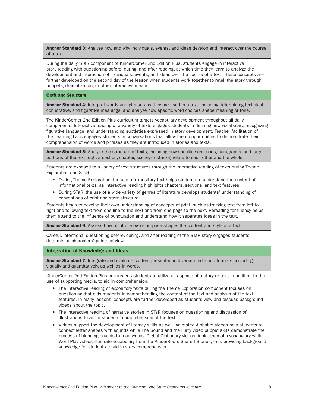Anchor Standard 3: Analyze how and why individuals, events, and ideas develop and interact over the course of a text.

During the daily STaR component of KinderCorner 2nd Edition Plus, students engage in interactive story reading with questioning before, during, and after reading, at which time they learn to analyze the development and interaction of individuals, events, and ideas over the course of a text. These concepts are further developed on the second day of the lesson when students work together to retell the story through puppets, dramatization, or other interactive means.

#### Craft and Structure

Anchor Standard 4: Interpret words and phrases as they are used in a text, including determining technical, connotative, and figurative meanings, and analyze how specific word choices shape meaning or tone.

The KinderCorner 2nd Edition Plus curriculum targets vocabulary development throughout all daily components. Interactive reading of a variety of texts engages students in defining new vocabulary, recognizing figurative language, and understanding subtleties expressed in story development. Teacher facilitation of the Learning Labs engages students in conversations that allow them opportunities to demonstrate their comprehension of words and phrases as they are introduced in stories and texts.

Anchor Standard 5: Analyze the structure of texts, including how specific sentences, paragraphs, and larger portions of the text (e.g., a section, chapter, scene, or stanza) relate to each other and the whole.

Students are exposed to a variety of text structures through the interactive reading of texts during Theme Exploration and STaR.

- During Theme Exploration, the use of expository text helps students to understand the content of informational texts, as interactive reading highlights chapters, sections, and text features.
- During STaR, the use of a wide variety of genres of literature develops students' understanding of conventions of print and story structure.

Students begin to develop their own understanding of concepts of print, such as tracking text from left to right and following text from one line to the next and from one page to the next. Rereading for fluency helps them attend to the influence of punctuation and understand how it separates ideas in the text.

Anchor Standard 6: Assess how point of view or purpose shapes the content and style of a text.

Careful, intentional questioning before, during, and after reading of the STaR story engages students determining characters' points of view.

Integration of Knowledge and Ideas

Anchor Standard 7: Integrate and evaluate content presented in diverse media and formats, including visually and quantitatively, as well as in words. $<sup>1</sup>$ </sup>

KinderCorner 2nd Edition Plus encourages students to utilize all aspects of a story or text, in addition to the use of supporting media, to aid in comprehension.

- The interactive reading of expository texts during the Theme Exploration component focuses on questioning that aids students in comprehending the content of the text and analysis of the text features. In many lessons, concepts are further developed as students view and discuss background videos about the topic.
- The interactive reading of narrative stories in STaR focuses on questioning and discussion of illustrations to aid in students' comprehension of the text.
- Videos support the development of literacy skills as well. Animated Alphabet videos help students to connect letter shapes with sounds while The Sound and the Furry video puppet skits demonstrate the process of blending sounds to read words. Digital Dictionary videos depict thematic vocabulary while Word Play videos illustrate vocabulary from the KinderRoots Shared Stories, thus providing background knowledge for students to aid in story comprehension.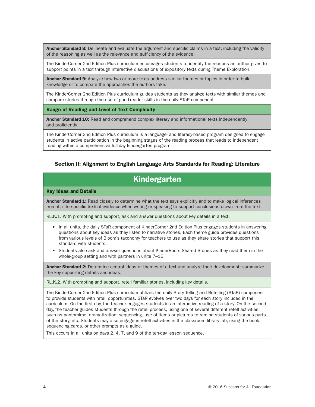Anchor Standard 8: Delineate and evaluate the argument and specific claims in a text, including the validity of the reasoning as well as the relevance and sufficiency of the evidence.

The KinderCorner 2nd Edition Plus curriculum encourages students to identify the reasons an author gives to support points in a text through interactive discussions of expository texts during Theme Exploration.

Anchor Standard 9: Analyze how two or more texts address similar themes or topics in order to build knowledge or to compare the approaches the authors take.

The KinderCorner 2nd Edition Plus curriculum guides students as they analyze texts with similar themes and compare stories through the use of good-reader skills in the daily STaR component.

Range of Reading and Level of Text Complexity

Anchor Standard 10: Read and comprehend complex literary and informational texts independently and proficiently.

The KinderCorner 2nd Edition Plus curriculum is a language- and literacy-based program designed to engage students in active participation in the beginning stages of the reading process that leads to independent reading within a comprehensive full-day kindergarten program.

### Section II: Alignment to English Language Arts Standards for Reading: Literature

## Kindergarten

#### Key Ideas and Details

Anchor Standard 1: Read closely to determine what the text says explicitly and to make logical inferences from it; cite specific textual evidence when writing or speaking to support conclusions drawn from the text.

RL.K.1. With prompting and support, ask and answer questions about key details in a text.

- In all units, the daily STaR component of KinderCorner 2nd Edition Plus engages students in answering questions about key ideas as they listen to narrative stories. Each theme guide provides questions from various levels of Bloom's taxonomy for teachers to use as they share stories that support this standard with students.
- Students also ask and answer questions about KinderRoots Shared Stories as they read them in the whole-group setting and with partners in units 7–16.

Anchor Standard 2: Determine central ideas or themes of a text and analyze their development; summarize the key supporting details and ideas.

RL.K.2. With prompting and support, retell familiar stories, including key details.

The KinderCorner 2nd Edition Plus curriculum utilizes the daily Story Telling and Retelling (STaR) component to provide students with retell opportunities. STaR evolves over two days for each story included in the curriculum. On the first day, the teacher engages students in an interactive reading of a story. On the second day, the teacher guides students through the retell process, using one of several different retell activities, such as pantomime, dramatization, sequencing, use of items or pictures to remind students of various parts of the story, etc. Students may also engage in retell activities in the classroom library lab, using the book, sequencing cards, or other prompts as a guide.

This occurs in all units on days 2, 4, 7, and 9 of the ten-day lesson sequence.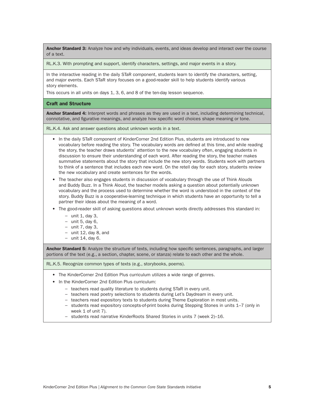Anchor Standard 3: Analyze how and why individuals, events, and ideas develop and interact over the course of a text.

RL.K.3. With prompting and support, identify characters, settings, and major events in a story.

In the interactive reading in the daily STaR component, students learn to identify the characters, setting, and major events. Each STaR story focuses on a good-reader skill to help students identify various story elements.

This occurs in all units on days 1, 3, 6, and 8 of the ten-day lesson sequence.

#### Craft and Structure

Anchor Standard 4: Interpret words and phrases as they are used in a text, including determining technical, connotative, and figurative meanings, and analyze how specific word choices shape meaning or tone.

RL.K.4. Ask and answer questions about unknown words in a text.

- In the daily STaR component of KinderCorner 2nd Edition Plus, students are introduced to new vocabulary before reading the story. The vocabulary words are defined at this time, and while reading the story, the teacher draws students' attention to the new vocabulary often, engaging students in discussion to ensure their understanding of each word. After reading the story, the teacher makes summative statements about the story that include the new story words. Students work with partners to think of a sentence that includes each new word. On the retell day for each story, students review the new vocabulary and create sentences for the words.
- The teacher also engages students in discussion of vocabulary through the use of Think Alouds and Buddy Buzz. In a Think Aloud, the teacher models asking a question about potentially unknown vocabulary and the process used to determine whether the word is understood in the context of the story. Buddy Buzz is a cooperative-learning technique in which students have an opportunity to tell a partner their ideas about the meaning of a word.
- The good-reader skill of asking questions about unknown words directly addresses this standard in:
	- − unit 1, day 3,
	- − unit 5, day 6,
	- − unit 7, day 3,
	- − unit 12, day 8, and
	- − unit 14, day 6.

Anchor Standard 5: Analyze the structure of texts, including how specific sentences, paragraphs, and larger portions of the text (e.g., a section, chapter, scene, or stanza) relate to each other and the whole.

RL.K.5. Recognize common types of texts (e.g., storybooks, poems).

- The KinderCorner 2nd Edition Plus curriculum utilizes a wide range of genres.
- In the KinderCorner 2nd Edition Plus curriculum:
	- − teachers read quality literature to students during STaR in every unit.
	- − teachers read poetry selections to students during Let's Daydream in every unit.
	- − teachers read expository texts to students during Theme Exploration in most units.
	- − students read expository concepts-of-print books during Stepping Stones in units 1–7 (only in week 1 of unit 7).
	- − students read narrative KinderRoots Shared Stories in units 7 (week 2)–16.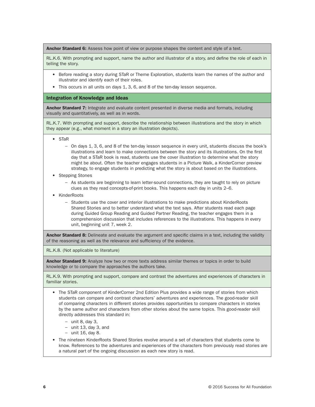Anchor Standard 6: Assess how point of view or purpose shapes the content and style of a text.

RL.K.6. With prompting and support, name the author and illustrator of a story, and define the role of each in telling the story.

- Before reading a story during STaR or Theme Exploration, students learn the names of the author and illustrator and identify each of their roles.
- This occurs in all units on days 1, 3, 6, and 8 of the ten-day lesson sequence.

#### Integration of Knowledge and Ideas

Anchor Standard 7: Integrate and evaluate content presented in diverse media and formats, including visually and quantitatively, as well as in words.

RL.K.7. With prompting and support, describe the relationship between illustrations and the story in which they appear (e.g., what moment in a story an illustration depicts).

- STaR
	- − On days 1, 3, 6, and 8 of the ten-day lesson sequence in every unit, students discuss the book's illustrations and learn to make connections between the story and its illustrations. On the first day that a STaR book is read, students use the cover illustration to determine what the story might be about. Often the teacher engages students in a Picture Walk, a KinderCorner preview strategy, to engage students in predicting what the story is about based on the illustrations.
- Stepping Stones
	- − As students are beginning to learn letter-sound connections, they are taught to rely on picture clues as they read concepts-of-print books. This happens each day in units 2–6.
- KinderRoots
	- − Students use the cover and interior illustrations to make predictions about KinderRoots Shared Stories and to better understand what the text says. After students read each page during Guided Group Reading and Guided Partner Reading, the teacher engages them in a comprehension discussion that includes references to the illustrations. This happens in every unit, beginning unit 7, week 2.

Anchor Standard 8: Delineate and evaluate the argument and specific claims in a text, including the validity of the reasoning as well as the relevance and sufficiency of the evidence.

RL.K.8. (Not applicable to literature)

Anchor Standard 9: Analyze how two or more texts address similar themes or topics in order to build knowledge or to compare the approaches the authors take.

RL.K.9. With prompting and support, compare and contrast the adventures and experiences of characters in familiar stories.

- The STaR component of KinderCorner 2nd Edition Plus provides a wide range of stories from which students can compare and contrast characters' adventures and experiences. The good-reader skill of comparing characters in different stories provides opportunities to compare characters in stories by the same author and characters from other stories about the same topics. This good-reader skill directly addresses this standard in:
	- − unit 8, day 3,
	- − unit 13, day 3, and
	- − unit 16, day 8.
- The nineteen KinderRoots Shared Stories revolve around a set of characters that students come to know. References to the adventures and experiences of the characters from previously read stories are a natural part of the ongoing discussion as each new story is read.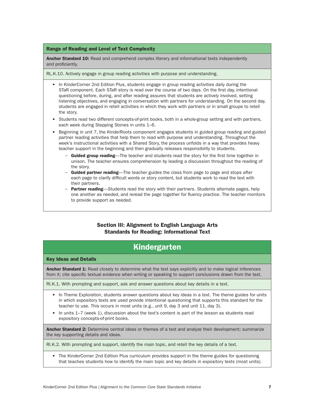#### Range of Reading and Level of Text Complexity

Anchor Standard 10: Read and comprehend complex literary and informational texts independently and proficiently.

RL.K.10. Actively engage in group reading activities with purpose and understanding.

- In KinderCorner 2nd Edition Plus, students engage in group reading activities daily during the STaR component. Each STaR story is read over the course of two days. On the first day, intentional questioning before, during, and after reading assures that students are actively involved, setting listening objectives, and engaging in conversation with partners for understanding. On the second day, students are engaged in retell activities in which they work with partners or in small groups to retell the story.
- Students read two different concepts-of-print books, both in a whole-group setting and with partners, each week during Stepping Stones in units 1–6.
- Beginning in unit 7, the KinderRoots component engages students in guided group reading and guided partner reading activities that help them to read with purpose and understanding. Throughout the week's instructional activities with a Shared Story, the process unfolds in a way that provides heavy teacher support in the beginning and then gradually releases responsibility to students.
	- − Guided group reading—The teacher and students read the story for the first time together in unison. The teacher ensures comprehension by leading a discussion throughout the reading of the story.
	- − Guided partner reading—The teacher guides the class from page to page and stops after each page to clarify difficult words or story content, but students work to read the text with their partners.
	- − Partner reading—Students read the story with their partners. Students alternate pages, help one another as needed, and reread the page together for fluency practice. The teacher monitors to provide support as needed.

### Section III: Alignment to English Language Arts Standards for Reading: Informational Text

## Kindergarten

#### Key Ideas and Details

Anchor Standard 1: Read closely to determine what the text says explicitly and to make logical inferences from it; cite specific textual evidence when writing or speaking to support conclusions drawn from the text.

RI.K.1. With prompting and support, ask and answer questions about key details in a text.

- In Theme Exploration, students answer questions about key ideas in a text. The theme guides for units in which expository texts are used provide intentional questioning that supports this standard for the teacher to use. This occurs in most units (e.g., unit 9, day 3 and unit 11, day 3).
- In units 1–7 (week 1), discussion about the text's content is part of the lesson as students read expository concepts-of-print books.

Anchor Standard 2: Determine central ideas or themes of a text and analyze their development; summarize the key supporting details and ideas.

RI.K.2. With prompting and support, identify the main topic, and retell the key details of a text.

• The KinderCorner 2nd Edition Plus curriculum provides support in the theme guides for questioning that teaches students how to identify the main topic and key details in expository texts (most units).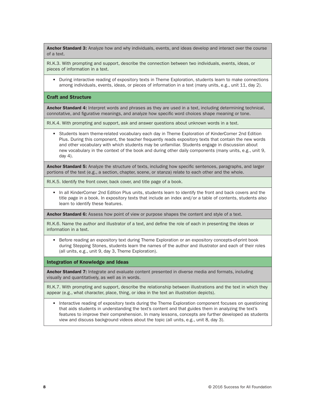Anchor Standard 3: Analyze how and why individuals, events, and ideas develop and interact over the course of a text.

RI.K.3. With prompting and support, describe the connection between two individuals, events, ideas, or pieces of information in a text.

• During interactive reading of expository texts in Theme Exploration, students learn to make connections among individuals, events, ideas, or pieces of information in a text (many units, e.g., unit 11, day 2).

#### Craft and Structure

Anchor Standard 4: Interpret words and phrases as they are used in a text, including determining technical, connotative, and figurative meanings, and analyze how specific word choices shape meaning or tone.

RI.K.4. With prompting and support, ask and answer questions about unknown words in a text.

• Students learn theme-related vocabulary each day in Theme Exploration of KinderCorner 2nd Edition Plus. During this component, the teacher frequently reads expository texts that contain the new words and other vocabulary with which students may be unfamiliar. Students engage in discussion about new vocabulary in the context of the book and during other daily components (many units, e.g., unit 9, day 4).

Anchor Standard 5: Analyze the structure of texts, including how specific sentences, paragraphs, and larger portions of the text (e.g., a section, chapter, scene, or stanza) relate to each other and the whole.

RI.K.5. Identify the front cover, back cover, and title page of a book.

• In all KinderCorner 2nd Edition Plus units, students learn to identify the front and back covers and the title page in a book. In expository texts that include an index and/or a table of contents, students also learn to identify these features.

Anchor Standard 6: Assess how point of view or purpose shapes the content and style of a text.

RI.K.6. Name the author and illustrator of a text, and define the role of each in presenting the ideas or information in a text.

• Before reading an expository text during Theme Exploration or an expository concepts-of-print book during Stepping Stones, students learn the names of the author and illustrator and each of their roles (all units, e.g., unit 9, day 3, Theme Exploration).

Integration of Knowledge and Ideas

Anchor Standard 7: Integrate and evaluate content presented in diverse media and formats, including visually and quantitatively, as well as in words.

RI.K.7. With prompting and support, describe the relationship between illustrations and the text in which they appear (e.g., what character, place, thing, or idea in the text an illustration depicts).

• Interactive reading of expository texts during the Theme Exploration component focuses on questioning that aids students in understanding the text's content and that guides them in analyzing the text's features to improve their comprehension. In many lessons, concepts are further developed as students view and discuss background videos about the topic (all units, e.g., unit 8, day 3).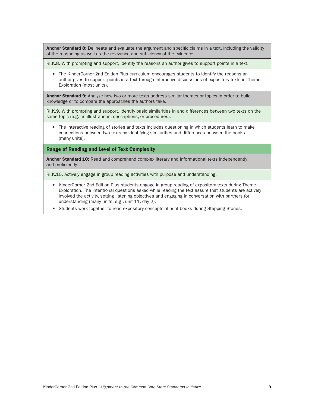Anchor Standard 8: Delineate and evaluate the argument and specific claims in a text, including the validity of the reasoning as well as the relevance and sufficiency of the evidence.

RI.K.8. With prompting and support, identify the reasons an author gives to support points in a text.

• The KinderCorner 2nd Edition Plus curriculum encourages students to identify the reasons an author gives to support points in a text through interactive discussions of expository texts in Theme Exploration (most units).

Anchor Standard 9: Analyze how two or more texts address similar themes or topics in order to build knowledge or to compare the approaches the authors take.

RI.K.9. With prompting and support, identify basic similarities in and differences between two texts on the same topic (e.g., in illustrations, descriptions, or procedures).

• The interactive reading of stories and texts includes questioning in which students learn to make connections between two texts by identifying similarities and differences between the books (many units).

Range of Reading and Level of Text Complexity

Anchor Standard 10: Read and comprehend complex literary and informational texts independently and proficiently.

RI.K.10. Actively engage in group reading activities with purpose and understanding.

- KinderCorner 2nd Edition Plus students engage in group reading of expository texts during Theme Exploration. The intentional questions asked while reading the text assure that students are actively involved the activity, setting listening objectives and engaging in conversation with partners for understanding (many units, e.g., unit 11, day 2).
- Students work together to read expository concepts-of-print books during Stepping Stones.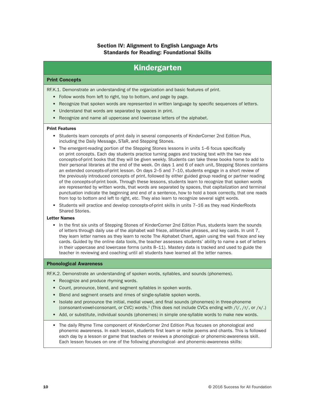### Section IV: Alignment to English Language Arts Standards for Reading: Foundational Skills

## Kindergarten

#### Print Concepts

RF.K.1. Demonstrate an understanding of the organization and basic features of print.

- Follow words from left to right, top to bottom, and page by page.
- Recognize that spoken words are represented in written language by specific sequences of letters.
- Understand that words are separated by spaces in print.
- Recognize and name all uppercase and lowercase letters of the alphabet.

#### Print Features

- Students learn concepts of print daily in several components of KinderCorner 2nd Edition Plus, including the Daily Message, STaR, and Stepping Stones.
- The emergent-reading portion of the Stepping Stones lessons in units 1–6 focus specifically on print concepts. Each day students practice turning pages and tracking text with the two new concepts-of-print books that they will be given weekly. Students can take these books home to add to their personal libraries at the end of the week. On days 1 and 6 of each unit, Stepping Stones contains an extended concepts-of-print lesson. On days 2–5 and 7–10, students engage in a short review of the previously introduced concepts of print, followed by either guided group reading or partner reading of the concepts-of-print book. Through these lessons, students learn to recognize that spoken words are represented by written words, that words are separated by spaces, that capitalization and terminal punctuation indicate the beginning and end of a sentence, how to hold a book correctly, that one reads from top to bottom and left to right, etc. They also learn to recognize several sight words.
- Students will practice and develop concepts-of-print skills in units 7–16 as they read KinderRoots Shared Stories.

#### Letter Names

• In the first six units of Stepping Stones of KinderCorner 2nd Edition Plus, students learn the sounds of letters through daily use of the alphabet wall frieze, alliterative phrases, and key cards. In unit 7, they learn letter names as they learn to recite The Alphabet Chant, again using the wall frieze and key cards. Guided by the online data tools, the teacher assesses students' ability to name a set of letters in their uppercase and lowercase forms (units 8–11). Mastery data is tracked and used to guide the teacher in reviewing and coaching until all students have learned all the letter names.

#### Phonological Awareness

RF.K.2. Demonstrate an understanding of spoken words, syllables, and sounds (phonemes).

- Recognize and produce rhyming words.
- Count, pronounce, blend, and segment syllables in spoken words.
- Blend and segment onsets and rimes of single-syllable spoken words.
- Isolate and pronounce the initial, medial vowel, and final sounds (phonemes) in three-phoneme (consonant-vowel-consonant, or CVC) words.1 (This does not include CVCs ending with /l/, /r/, or /x/.)
- Add, or substitute, individual sounds (phonemes) in simple one-syllable words to make new words.
- The daily Rhyme Time component of KinderCorner 2nd Edition Plus focuses on phonological and phonemic awareness. In each lesson, students first learn or recite poems and chants. This is followed each day by a lesson or game that teaches or reviews a phonological- or phonemic-awareness skill. Each lesson focuses on one of the following phonological- and phonemic-awareness skills: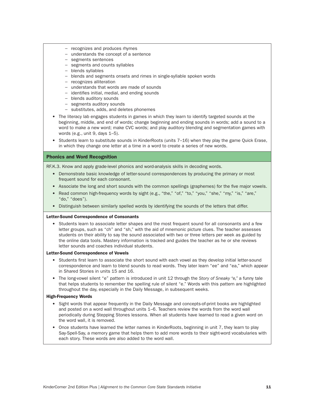- − recognizes and produces rhymes
- − understands the concept of a sentence
- − segments sentences
- − segments and counts syllables
- − blends syllables
- − blends and segments onsets and rimes in single-syllable spoken words
- − recognizes alliteration
- − understands that words are made of sounds
- − identifies initial, medial, and ending sounds
- − blends auditory sounds
- − segments auditory sounds
- − substitutes, adds, and deletes phonemes
- The literacy lab engages students in games in which they learn to identify targeted sounds at the beginning, middle, and end of words; change beginning and ending sounds in words; add a sound to a word to make a new word; make CVC words; and play auditory blending and segmentation games with words (e.g., unit 9, days 1–5).
- Students learn to substitute sounds in KinderRoots (units 7–16) when they play the game Quick Erase, in which they change one letter at a time in a word to create a series of new words.

#### Phonics and Word Recognition

RF.K.3. Know and apply grade-level phonics and word-analysis skills in decoding words.

- Demonstrate basic knowledge of letter-sound correspondences by producing the primary or most frequent sound for each consonant.
- Associate the long and short sounds with the common spellings (graphemes) for the five major vowels.
- Read common high-frequency words by sight (e.g., "the," "of," "to," "you," "she," "my," "is," "are," "do," "does").
- Distinguish between similarly spelled words by identifying the sounds of the letters that differ.

#### Letter-Sound Correspondence of Consonants

• Students learn to associate letter shapes and the most frequent sound for all consonants and a few letter groups, such as "ch" and "sh," with the aid of mnemonic picture clues. The teacher assesses students on their ability to say the sound associated with two or three letters per week as guided by the online data tools. Mastery information is tracked and guides the teacher as he or she reviews letter sounds and coaches individual students.

#### Letter-Sound Correspondence of Vowels

- Students first learn to associate the short sound with each vowel as they develop initial letter-sound correspondence and learn to blend sounds to read words. They later learn "ee" and "ea," which appear in Shared Stories in units 15 and 16.
- The long-vowel silent "e" pattern is introduced in unit 12 through the *Story of Sneaky "e,"* a funny tale that helps students to remember the spelling rule of silent "e." Words with this pattern are highlighted throughout the day, especially in the Daily Message, in subsequent weeks.

#### High-Frequency Words

- Sight words that appear frequently in the Daily Message and concepts-of-print books are highlighted and posted on a word wall throughout units 1–6. Teachers review the words from the word wall periodically during Stepping Stones lessons. When all students have learned to read a given word on the word wall, it is removed.
- Once students have learned the letter names in KinderRoots, beginning in unit 7, they learn to play Say-Spell-Say, a memory game that helps them to add more words to their sight-word vocabularies with each story. These words are also added to the word wall.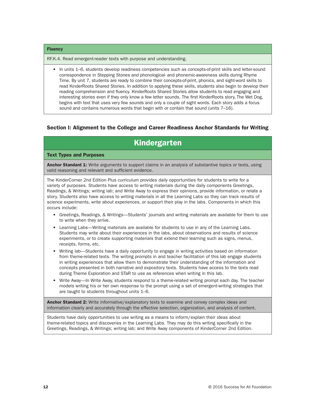#### **Fluency**

RF.K.4. Read emergent-reader texts with purpose and understanding.

• In units 1–6, students develop readiness competencies such as concepts-of-print skills and letter-sound correspondence in Stepping Stones and phonological- and phonemic-awareness skills during Rhyme Time. By unit 7, students are ready to combine their concepts-of-print, phonics, and sight-word skills to read KinderRoots Shared Stories. In addition to applying these skills, students also begin to develop their reading comprehension and fluency. KinderRoots Shared Stories allow students to read engaging and interesting stories even if they only know a few letter sounds. The first KinderRoots story, The Wet Dog, begins with text that uses very few sounds and only a couple of sight words. Each story adds a focus sound and contains numerous words that begin with or contain that sound (units 7–16).

### Section I: Alignment to the College and Career Readiness Anchor Standards for Writing

## Kindergarten

#### Text Types and Purposes

**Anchor Standard 1:** Write arguments to support claims in an analysis of substantive topics or texts, using valid reasoning and relevant and sufficient evidence.

The KinderCorner 2nd Edition Plus curriculum provides daily opportunities for students to write for a variety of purposes. Students have access to writing materials during the daily components Greetings, Readings, & Writings; writing lab; and Write Away to express their opinions, provide information, or relate a story. Students also have access to writing materials in all the Learning Labs so they can track results of science experiments, write about experiences, or support their play in the labs. Components in which this occurs include:

- Greetings, Readings, & Writings—Students' journals and writing materials are available for them to use to write when they arrive.
- Learning Labs—Writing materials are available for students to use in any of the Learning Labs. Students may write about their experiences in the labs, about observations and results of science experiments, or to create supporting materials that extend their learning such as signs, menus, receipts, forms, etc.
- Writing lab—Students have a daily opportunity to engage in writing activities based on information from theme-related texts. The writing prompts in and teacher facilitation of this lab engage students in writing experiences that allow them to demonstrate their understanding of the information and concepts presented in both narrative and expository texts. Students have access to the texts read during Theme Exploration and STaR to use as references when writing in this lab.
- Write Away—In Write Away, students respond to a theme-related writing prompt each day. The teacher models writing his or her own response to the prompt using a set of emergent-writing strategies that are taught to students throughout units 1–6.

Anchor Standard 2: Write informative/explanatory texts to examine and convey complex ideas and information clearly and accurately through the effective selection, organization, and analysis of content.

Students have daily opportunities to use writing as a means to inform/explain their ideas about theme-related topics and discoveries in the Learning Labs. They may do this writing specifically in the Greetings, Readings, & Writings; writing lab; and Write Away components of KinderCorner 2nd Edition.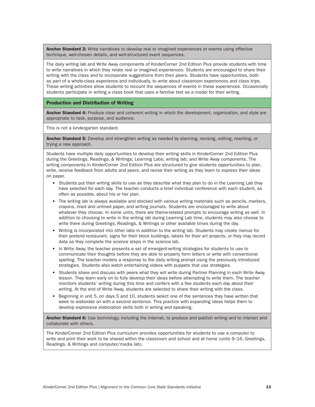**Anchor Standard 3:** Write narratives to develop real or imagined experiences or events using effective technique, well-chosen details, and well-structured event sequences.

The daily writing lab and Write Away components of KinderCorner 2nd Edition Plus provide students with time to write narratives in which they relate real or imagined experiences. Students are encouraged to share their writing with the class and to incorporate suggestions from their peers. Students have opportunities, both as part of a whole-class experience and individually, to write about classroom experiences and class trips. These writing activities allow students to recount the sequences of events in these experiences. Occasionally students participate in writing a class book that uses a familiar text as a model for their writing.

#### Production and Distribution of Writing

Anchor Standard 4: Produce clear and coherent writing in which the development, organization, and style are appropriate to task, purpose, and audience.

This is not a kindergarten standard.

Anchor Standard 5: Develop and strengthen writing as needed by planning, revising, editing, rewriting, or trying a new approach.

Students have multiple daily opportunities to develop their writing skills in KinderCorner 2nd Edition Plus during the Greetings, Readings, & Writings; Learning Labs; writing lab; and Write Away components. The writing components in KinderCorner 2nd Edition Plus are structured to give students opportunities to plan, write, receive feedback from adults and peers, and revise their writing as they learn to express their ideas on paper.

- Students put their writing skills to use as they describe what they plan to do in the Learning Lab they have selected for each day. The teacher conducts a brief individual conference with each student, as often as possible, about his or her plan.
- The writing lab is always available and stocked with various writing materials such as pencils, markers, crayons, lined and unlined paper, and writing journals. Students are encouraged to write about whatever they choose. In some units, there are theme-related prompts to encourage writing as well. In addition to choosing to write in the writing lab during Learning Lab time, students may also choose to write there during Greetings, Readings, & Writings or other available times during the day.
- Writing is incorporated into other labs in addition to the writing lab. Students may create menus for their pretend restaurant, signs for their block buildings, labels for their art projects, or they may record data as they complete the science steps in the science lab.
- In Write Away, the teacher presents a set of emergent-writing strategies for students to use to communicate their thoughts before they are able to properly form letters or write with conventional spelling. The teacher models a response to the daily writing prompt using the previously introduced strategies. Students also watch entertaining videos with puppets that use strategies.
- Students share and discuss with peers what they will write during Partner Planning in each Write Away lesson. They learn early on to fully develop their ideas before attempting to write them. The teacher monitors students' writing during this time and confers with a few students each day about their writing. At the end of Write Away, students are selected to share their writing with the class.
- Beginning in unit 5, on days 5 and 10, students select one of the sentences they have written that week to elaborate on with a second sentence. This practice with expanding ideas helps them to develop expressive elaboration skills both in writing and speaking.

Anchor Standard 6: Use technology, including the Internet, to produce and publish writing and to interact and collaborate with others.

The KinderCorner 2nd Edition Plus curriculum provides opportunities for students to use a computer to write and print their work to be shared within the classroom and school and at home (units 9–16, Greetings, Readings, & Writings and computer/media lab).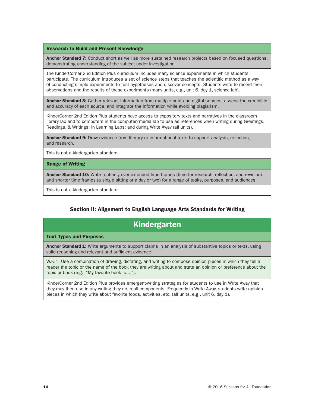#### Research to Build and Present Knowledge

Anchor Standard 7: Conduct short as well as more sustained research projects based on focused questions, demonstrating understanding of the subject under investigation.

The KinderCorner 2nd Edition Plus curriculum includes many science experiments in which students participate. The curriculum introduces a set of science steps that teaches the scientific method as a way of conducting simple experiments to test hypotheses and discover concepts. Students write to record their observations and the results of these experiments (many units, e.g., unit 6, day 1, science lab).

Anchor Standard 8: Gather relevant information from multiple print and digital sources, assess the credibility and accuracy of each source, and integrate the information while avoiding plagiarism.

KinderCorner 2nd Edition Plus students have access to expository texts and narratives in the classroom library lab and to computers in the computer/media lab to use as references when writing during Greetings, Readings, & Writings; in Learning Labs; and during Write Away (all units).

Anchor Standard 9: Draw evidence from literary or informational texts to support analysis, reflection, and research.

This is not a kindergarten standard.

#### Range of Writing

Anchor Standard 10: Write routinely over extended time frames (time for research, reflection, and revision) and shorter time frames (a single sitting or a day or two) for a range of tasks, purposes, and audiences.

This is not a kindergarten standard.

### Section II: Alignment to English Language Arts Standards for Writing

## Kindergarten

#### Text Types and Purposes

Anchor Standard 1: Write arguments to support claims in an analysis of substantive topics or texts, using valid reasoning and relevant and sufficient evidence.

W.K.1. Use a combination of drawing, dictating, and writing to compose opinion pieces in which they tell a reader the topic or the name of the book they are writing about and state an opinion or preference about the topic or book (e.g., "My favorite book is....").

KinderCorner 2nd Edition Plus provides emergent-writing strategies for students to use in Write Away that they may then use in any writing they do in all components. Frequently in Write Away, students write opinion pieces in which they write about favorite foods, activities, etc. (all units, e.g., unit 6, day 1).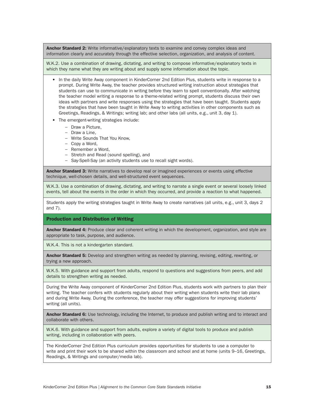Anchor Standard 2: Write informative/explanatory texts to examine and convey complex ideas and information clearly and accurately through the effective selection, organization, and analysis of content.

W.K.2. Use a combination of drawing, dictating, and writing to compose informative/explanatory texts in which they name what they are writing about and supply some information about the topic.

- In the daily Write Away component in KinderCorner 2nd Edition Plus, students write in response to a prompt. During Write Away, the teacher provides structured writing instruction about strategies that students can use to communicate in writing before they learn to spell conventionally. After watching the teacher model writing a response to a theme-related writing prompt, students discuss their own ideas with partners and write responses using the strategies that have been taught. Students apply the strategies that have been taught in Write Away to writing activities in other components such as Greetings, Readings, & Writings; writing lab; and other labs (all units, e.g., unit 3, day 1).
- The emergent-writing strategies include:
	- − Draw a Picture,
	- − Draw a Line,
	- − Write Sounds That You Know,
	- − Copy a Word,
	- − Remember a Word,
	- − Stretch and Read (sound spelling), and
	- − Say-Spell-Say (an activity students use to recall sight words).

**Anchor Standard 3:** Write narratives to develop real or imagined experiences or events using effective technique, well-chosen details, and well-structured event sequences.

W.K.3. Use a combination of drawing, dictating, and writing to narrate a single event or several loosely linked events, tell about the events in the order in which they occurred, and provide a reaction to what happened.

Students apply the writing strategies taught in Write Away to create narratives (all units, e.g., unit 3, days 2 and 7).

#### Production and Distribution of Writing

Anchor Standard 4: Produce clear and coherent writing in which the development, organization, and style are appropriate to task, purpose, and audience.

W.K.4. This is not a kindergarten standard.

Anchor Standard 5: Develop and strengthen writing as needed by planning, revising, editing, rewriting, or trying a new approach.

W.K.5. With guidance and support from adults, respond to questions and suggestions from peers, and add details to strengthen writing as needed.

During the Write Away component of KinderCorner 2nd Edition Plus, students work with partners to plan their writing. The teacher confers with students regularly about their writing when students write their lab plans and during Write Away. During the conference, the teacher may offer suggestions for improving students' writing (all units).

Anchor Standard 6: Use technology, including the Internet, to produce and publish writing and to interact and collaborate with others.

W.K.6. With guidance and support from adults, explore a variety of digital tools to produce and publish writing, including in collaboration with peers.

The KinderCorner 2nd Edition Plus curriculum provides opportunities for students to use a computer to write and print their work to be shared within the classroom and school and at home (units 9–16, Greetings, Readings, & Writings and computer/media lab).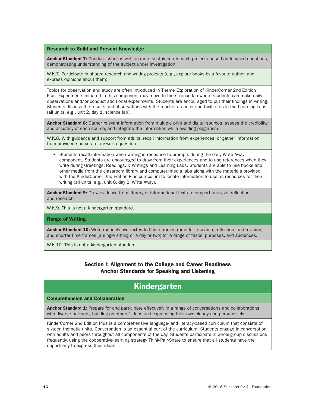#### Research to Build and Present Knowledge

Anchor Standard 7: Conduct short as well as more sustained research projects based on focused questions, demonstrating understanding of the subject under investigation.

W.K.7. Participate in shared research and writing projects (e.g., explore books by a favorite author, and express opinions about them).

Topics for observation and study are often introduced in Theme Exploration of KinderCorner 2nd Edition Plus. Experiments initiated in this component may move to the science lab where students can make daily observations and/or conduct additional experiments. Students are encouraged to put their findings in writing. Students discuss the results and observations with the teacher as he or she facilitates in the Learning Labs (all units, e.g., unit 2, day 1, science lab).

Anchor Standard 8: Gather relevant information from multiple print and digital sources, assess the credibility and accuracy of each source, and integrate the information while avoiding plagiarism.

W.K.8. With guidance and support from adults, recall information from experiences, or gather information from provided sources to answer a question.

• Students recall information when writing in response to prompts during the daily Write Away component. Students are encouraged to draw from their experiences and to use references when they write during Greetings, Readings, & Writings and Learning Labs. Students are able to use books and other media from the classroom library and computer/media labs along with the materials provided with the KinderCorner 2nd Edition Plus curriculum to locate information to use as resources for their writing (all units, e.g., unit 8, day 2, Write Away).

Anchor Standard 9: Draw evidence from literary or informational texts to support analysis, reflection, and research.

W.K.9. This is not a kindergarten standard.

#### Range of Writing

Anchor Standard 10: Write routinely over extended time frames (time for research, reflection, and revision) and shorter time frames (a single sitting or a day or two) for a range of tasks, purposes, and audiences.

W.K.10. This is not a kindergarten standard.

### Section I: Alignment to the College and Career Readiness Anchor Standards for Speaking and Listening

## Kindergarten

#### Comprehension and Collaboration

Anchor Standard 1: Prepare for and participate effectively in a range of conversations and collaborations with diverse partners, building on others' ideas and expressing their own clearly and persuasively.

KinderCorner 2nd Edition Plus is a comprehensive language- and literacy-based curriculum that consists of sixteen thematic units. Conversation is an essential part of the curriculum. Students engage in conversation with adults and peers throughout all components of the day. Students participate in whole-group discussions frequently, using the cooperative-learning strategy Think-Pair-Share to ensure that all students have the opportunity to express their ideas.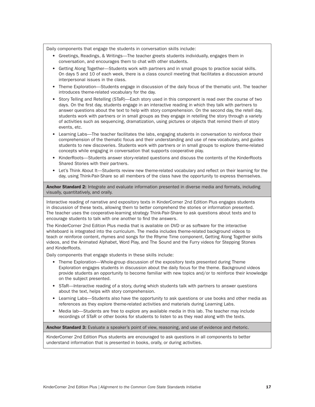Daily components that engage the students in conversation skills include:

- Greetings, Readings, & Writings—The teacher greets students individually, engages them in conversation, and encourages them to chat with other students.
- Getting Along Together—Students work with partners and in small groups to practice social skills. On days 5 and 10 of each week, there is a class council meeting that facilitates a discussion around interpersonal issues in the class.
- Theme Exploration—Students engage in discussion of the daily focus of the thematic unit. The teacher introduces theme-related vocabulary for the day.
- Story Telling and Retelling (STaR)—Each story used in this component is read over the course of two days. On the first day, students engage in an interactive reading in which they talk with partners to answer questions about the text to help with story comprehension. On the second day, the retell day, students work with partners or in small groups as they engage in retelling the story through a variety of activities such as sequencing, dramatization, using pictures or objects that remind them of story events, etc.
- Learning Labs—The teacher facilitates the labs, engaging students in conversation to reinforce their comprehension of the thematic focus and their understanding and use of new vocabulary, and guides students to new discoveries. Students work with partners or in small groups to explore theme-related concepts while engaging in conversation that supports cooperative play.
- KinderRoots—Students answer story-related questions and discuss the contents of the KinderRoots Shared Stories with their partners.
- Let's Think About It—Students review new theme-related vocabulary and reflect on their learning for the day, using Think-Pair-Share so all members of the class have the opportunity to express themselves.

Anchor Standard 2: Integrate and evaluate information presented in diverse media and formats, including visually, quantitatively, and orally.

Interactive reading of narrative and expository texts in KinderCorner 2nd Edition Plus engages students in discussion of these texts, allowing them to better comprehend the stories or information presented. The teacher uses the cooperative-learning strategy Think-Pair-Share to ask questions about texts and to encourage students to talk with one another to find the answers.

The KinderCorner 2nd Edition Plus media that is available on DVD or as software for the interactive whiteboard is integrated into the curriculum. The media includes theme-related background videos to teach or reinforce content, rhymes and songs for the Rhyme Time component, Getting Along Together skills videos, and the Animated Alphabet, Word Play, and The Sound and the Furry videos for Stepping Stones and KinderRoots.

Daily components that engage students in these skills include:

- Theme Exploration—Whole-group discussion of the expository texts presented during Theme Exploration engages students in discussion about the daily focus for the theme. Background videos provide students an opportunity to become familiar with new topics and/or to reinforce their knowledge on the subject presented.
- STaR—Interactive reading of a story, during which students talk with partners to answer questions about the text, helps with story comprehension.
- Learning Labs—Students also have the opportunity to ask questions or use books and other media as references as they explore theme-related activities and materials during Learning Labs.
- Media lab—Students are free to explore any available media in this lab. The teacher may include recordings of STaR or other books for students to listen to as they read along with the texts.

Anchor Standard 3: Evaluate a speaker's point of view, reasoning, and use of evidence and rhetoric.

KinderCorner 2nd Edition Plus students are encouraged to ask questions in all components to better understand information that is presented in books, orally, or during activities.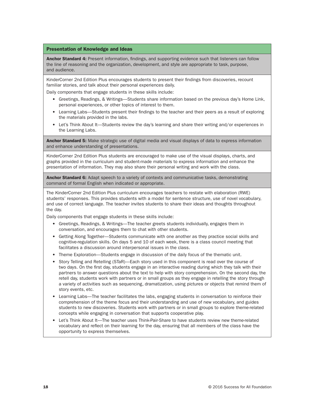#### Presentation of Knowledge and Ideas

Anchor Standard 4: Present information, findings, and supporting evidence such that listeners can follow the line of reasoning and the organization, development, and style are appropriate to task, purpose, and audience.

KinderCorner 2nd Edition Plus encourages students to present their findings from discoveries, recount familiar stories, and talk about their personal experiences daily.

Daily components that engage students in these skills include:

- Greetings, Readings, & Writings—Students share information based on the previous day's Home Link, personal experiences, or other topics of interest to them.
- Learning Labs—Students present their findings to the teacher and their peers as a result of exploring the materials provided in the labs.
- Let's Think About It—Students review the day's learning and share their writing and/or experiences in the Learning Labs.

Anchor Standard 5: Make strategic use of digital media and visual displays of data to express information and enhance understanding of presentations.

KinderCorner 2nd Edition Plus students are encouraged to make use of the visual displays, charts, and graphs provided in the curriculum and student-made materials to express information and enhance the presentation of information. They may also share their personal writing and work with the class.

Anchor Standard 6: Adapt speech to a variety of contexts and communicative tasks, demonstrating command of formal English when indicated or appropriate.

The KinderCorner 2nd Edition Plus curriculum encourages teachers to restate with elaboration (RWE) students' responses. This provides students with a model for sentence structure, use of novel vocabulary, and use of correct language. The teacher invites students to share their ideas and thoughts throughout the day.

Daily components that engage students in these skills include:

- Greetings, Readings, & Writings—The teacher greets students individually, engages them in conversation, and encourages them to chat with other students.
- Getting Along Together—Students communicate with one another as they practice social skills and cognitive-regulation skills. On days 5 and 10 of each week, there is a class council meeting that facilitates a discussion around interpersonal issues in the class.
- Theme Exploration—Students engage in discussion of the daily focus of the thematic unit.
- Story Telling and Retelling (STaR)—Each story used in this component is read over the course of two days. On the first day, students engage in an interactive reading during which they talk with their partners to answer questions about the text to help with story comprehension. On the second day, the retell day, students work with partners or in small groups as they engage in retelling the story through a variety of activities such as sequencing, dramatization, using pictures or objects that remind them of story events, etc.
- Learning Labs—The teacher facilitates the labs, engaging students in conversation to reinforce their comprehension of the theme focus and their understanding and use of new vocabulary, and guides students to new discoveries. Students work with partners or in small groups to explore theme-related concepts while engaging in conversation that supports cooperative play.
- Let's Think About It—The teacher uses Think-Pair-Share to have students review new theme-related vocabulary and reflect on their learning for the day, ensuring that all members of the class have the opportunity to express themselves.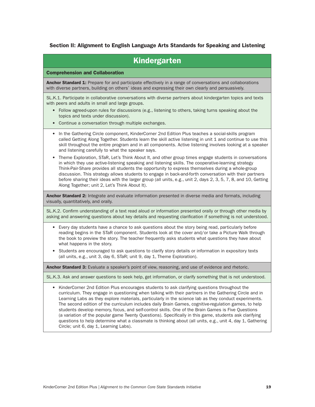### Section II: Alignment to English Language Arts Standards for Speaking and Listening

| <b>Kindergarten</b>                                                                                                                                                                                                                                                                                                                                                                                                                                                                                                                                                                                                                                                                                                                                                                                |
|----------------------------------------------------------------------------------------------------------------------------------------------------------------------------------------------------------------------------------------------------------------------------------------------------------------------------------------------------------------------------------------------------------------------------------------------------------------------------------------------------------------------------------------------------------------------------------------------------------------------------------------------------------------------------------------------------------------------------------------------------------------------------------------------------|
| <b>Comprehension and Collaboration</b>                                                                                                                                                                                                                                                                                                                                                                                                                                                                                                                                                                                                                                                                                                                                                             |
| Anchor Standard 1: Prepare for and participate effectively in a range of conversations and collaborations<br>with diverse partners, building on others' ideas and expressing their own clearly and persuasively.                                                                                                                                                                                                                                                                                                                                                                                                                                                                                                                                                                                   |
| SL.K.1. Participate in collaborative conversations with diverse partners about kindergarten topics and texts<br>with peers and adults in small and large groups.                                                                                                                                                                                                                                                                                                                                                                                                                                                                                                                                                                                                                                   |
| • Follow agreed-upon rules for discussions (e.g., listening to others, taking turns speaking about the<br>topics and texts under discussion).                                                                                                                                                                                                                                                                                                                                                                                                                                                                                                                                                                                                                                                      |
| Continue a conversation through multiple exchanges.<br>$\bullet$                                                                                                                                                                                                                                                                                                                                                                                                                                                                                                                                                                                                                                                                                                                                   |
| In the Gathering Circle component, KinderCorner 2nd Edition Plus teaches a social-skills program<br>$\bullet$<br>called Getting Along Together. Students learn the skill active listening in unit 1 and continue to use this<br>skill throughout the entire program and in all components. Active listening involves looking at a speaker<br>and listening carefully to what the speaker says.                                                                                                                                                                                                                                                                                                                                                                                                     |
| Theme Exploration, STaR, Let's Think About It, and other group times engage students in conversations<br>$\bullet$<br>in which they use active-listening speaking and listening skills. The cooperative-learning strategy<br>Think-Pair-Share provides all students the opportunity to express themselves during a whole-group<br>discussion. This strategy allows students to engage in back-and-forth conversation with their partners<br>before sharing their ideas with the larger group (all units, e.g., unit 2, days 2, 3, 5, 7, 8, and 10, Getting<br>Along Together; unit 2, Let's Think About It).                                                                                                                                                                                       |
| Anchor Standard 2: Integrate and evaluate information presented in diverse media and formats, including<br>visually, quantitatively, and orally.                                                                                                                                                                                                                                                                                                                                                                                                                                                                                                                                                                                                                                                   |
| SL.K.2. Confirm understanding of a text read aloud or information presented orally or through other media by<br>asking and answering questions about key details and requesting clarification if something is not understood.                                                                                                                                                                                                                                                                                                                                                                                                                                                                                                                                                                      |
| • Every day students have a chance to ask questions about the story being read, particularly before<br>reading begins in the STaR component. Students look at the cover and/or take a Picture Walk through<br>the book to preview the story. The teacher frequently asks students what questions they have about<br>what happens in the story.                                                                                                                                                                                                                                                                                                                                                                                                                                                     |
| Students are encouraged to ask questions to clarify story details or information in expository texts<br>$\bullet$<br>(all units, e.g., unit 3, day 6, STaR; unit 9, day 1, Theme Exploration).                                                                                                                                                                                                                                                                                                                                                                                                                                                                                                                                                                                                     |
| Anchor Standard 3: Evaluate a speaker's point of view, reasoning, and use of evidence and rhetoric.                                                                                                                                                                                                                                                                                                                                                                                                                                                                                                                                                                                                                                                                                                |
| SL.K.3. Ask and answer questions to seek help, get information, or clarify something that is not understood.                                                                                                                                                                                                                                                                                                                                                                                                                                                                                                                                                                                                                                                                                       |
| KinderCorner 2nd Edition Plus encourages students to ask clarifying questions throughout the<br>٠<br>curriculum. They engage in questioning when talking with their partners in the Gathering Circle and in<br>Learning Labs as they explore materials, particularly in the science lab as they conduct experiments.<br>The second edition of the curriculum includes daily Brain Games, cognitive-regulation games, to help<br>students develop memory, focus, and self-control skills. One of the Brain Games is Five Questions<br>(a variation of the popular game Twenty Questions). Specifically in this game, students ask clarifying<br>questions to help determine what a classmate is thinking about (all units, e.g., unit 4, day 1, Gathering<br>Circle; unit 6, day 1, Learning Labs). |
|                                                                                                                                                                                                                                                                                                                                                                                                                                                                                                                                                                                                                                                                                                                                                                                                    |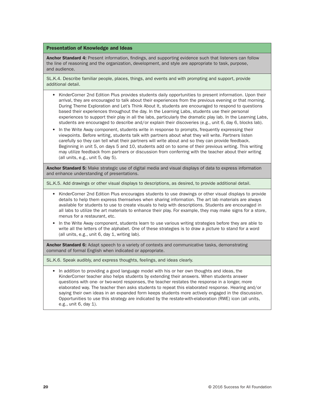#### Presentation of Knowledge and Ideas

Anchor Standard 4: Present information, findings, and supporting evidence such that listeners can follow the line of reasoning and the organization, development, and style are appropriate to task, purpose, and audience.

SL.K.4. Describe familiar people, places, things, and events and with prompting and support, provide additional detail.

- KinderCorner 2nd Edition Plus provides students daily opportunities to present information. Upon their arrival, they are encouraged to talk about their experiences from the previous evening or that morning. During Theme Exploration and Let's Think About It, students are encouraged to respond to questions based their experiences throughout the day. In the Learning Labs, students use their personal experiences to support their play in all the labs, particularly the dramatic play lab. In the Learning Labs, students are encouraged to describe and/or explain their discoveries (e.g., unit 6, day 6, blocks lab).
- In the Write Away component, students write in response to prompts, frequently expressing their viewpoints. Before writing, students talk with partners about what they will write. Partners listen carefully so they can tell what their partners will write about and so they can provide feedback. Beginning in unit 5, on days 5 and 10, students add on to some of their previous writing. This writing may utilize feedback from partners or discussion from conferring with the teacher about their writing (all units, e.g., unit 5, day 5).

**Anchor Standard 5:** Make strategic use of digital media and visual displays of data to express information and enhance understanding of presentations.

SL.K.5. Add drawings or other visual displays to descriptions, as desired, to provide additional detail.

- KinderCorner 2nd Edition Plus encourages students to use drawings or other visual displays to provide details to help them express themselves when sharing information. The art lab materials are always available for students to use to create visuals to help with descriptions. Students are encouraged in all labs to utilize the art materials to enhance their play. For example, they may make signs for a store, menus for a restaurant, etc.
- In the Write Away component, students learn to use various writing strategies before they are able to write all the letters of the alphabet. One of these strategies is to draw a picture to stand for a word (all units, e.g., unit 6, day 1, writing lab).

Anchor Standard 6: Adapt speech to a variety of contexts and communicative tasks, demonstrating command of formal English when indicated or appropriate.

SL.K.6. Speak audibly, and express thoughts, feelings, and ideas clearly.

• In addition to providing a good language model with his or her own thoughts and ideas, the KinderCorner teacher also helps students by extending their answers. When students answer questions with one- or two-word responses, the teacher restates the response in a longer, more elaborated way. The teacher then asks students to repeat this elaborated response. Hearing and/or saying their own ideas in an expanded form keeps students more actively engaged in the discussion. Opportunities to use this strategy are indicated by the restate-with-elaboration (RWE) icon (all units, e.g., unit 6, day 1).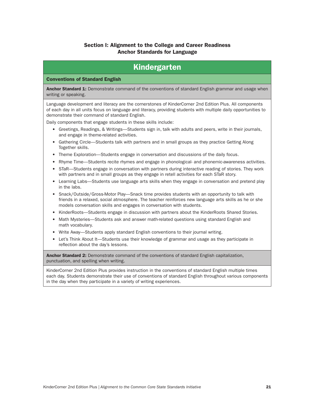### Section I: Alignment to the College and Career Readiness Anchor Standards for Language

## Kindergarten

#### Conventions of Standard English

Anchor Standard 1: Demonstrate command of the conventions of standard English grammar and usage when writing or speaking.

Language development and literacy are the cornerstones of KinderCorner 2nd Edition Plus. All components of each day in all units focus on language and literacy, providing students with multiple daily opportunities to demonstrate their command of standard English.

Daily components that engage students in these skills include:

- Greetings, Readings, & Writings—Students sign in, talk with adults and peers, write in their journals, and engage in theme-related activities.
- Gathering Circle—Students talk with partners and in small groups as they practice Getting Along Together skills.
- Theme Exploration—Students engage in conversation and discussions of the daily focus.
- Rhyme Time—Students recite rhymes and engage in phonological- and phonemic-awareness activities.
- STaR—Students engage in conversation with partners during interactive reading of stories. They work with partners and in small groups as they engage in retell activities for each STaR story.
- Learning Labs—Students use language arts skills when they engage in conversation and pretend play in the labs.
- Snack/Outside/Gross-Motor Play—Snack time provides students with an opportunity to talk with friends in a relaxed, social atmosphere. The teacher reinforces new language arts skills as he or she models conversation skills and engages in conversation with students.
- KinderRoots—Students engage in discussion with partners about the KinderRoots Shared Stories.
- Math Mysteries—Students ask and answer math-related questions using standard English and math vocabulary.
- Write Away—Students apply standard English conventions to their journal writing.
- Let's Think About It—Students use their knowledge of grammar and usage as they participate in reflection about the day's lessons.

Anchor Standard 2: Demonstrate command of the conventions of standard English capitalization, punctuation, and spelling when writing.

KinderCorner 2nd Edition Plus provides instruction in the conventions of standard English multiple times each day. Students demonstrate their use of conventions of standard English throughout various components in the day when they participate in a variety of writing experiences.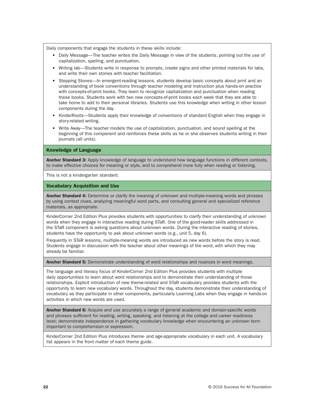Daily components that engage the students in these skills include:

- Daily Message—The teacher writes the Daily Message in view of the students, pointing out the use of capitalization, spelling, and punctuation.
- Writing lab—Students write in response to prompts, create signs and other printed materials for labs, and write their own stories with teacher facilitation.
- Stepping Stones—In emergent-reading lessons, students develop basic concepts about print and an understanding of book conventions through teacher modeling and instruction plus hands-on practice with concepts-of-print books. They learn to recognize capitalization and punctuation when reading these books. Students work with two new concepts-of-print books each week that they are able to take home to add to their personal libraries. Students use this knowledge when writing in other lesson components during the day.
- KinderRoots—Students apply their knowledge of conventions of standard English when they engage in story-related writing.
- Write Away—The teacher models the use of capitalization, punctuation, and sound spelling at the beginning of this component and reinforces these skills as he or she observes students writing in their journals (all units).

#### Knowledge of Language

Anchor Standard 3: Apply knowledge of language to understand how language functions in different contexts, to make effective choices for meaning or style, and to comprehend more fully when reading or listening.

This is not a kindergarten standard.

#### Vocabulary Acquisition and Use

Anchor Standard 4: Determine or clarify the meaning of unknown and multiple-meaning words and phrases by using context clues, analyzing meaningful word parts, and consulting general and specialized reference materials, as appropriate.

KinderCorner 2nd Edition Plus provides students with opportunities to clarify their understanding of unknown words when they engage in interactive reading during STaR. One of the good-reader skills addressed in the STaR component is asking questions about unknown words. During the interactive reading of stories, students have the opportunity to ask about unknown words (e.g., unit 5, day 6).

Frequently in STaR lessons, multiple-meaning words are introduced as new words before the story is read. Students engage in discussion with the teacher about other meanings of the word, with which they may already be familiar.

Anchor Standard 5: Demonstrate understanding of word relationships and nuances in word meanings.

The language and literacy focus of KinderCorner 2nd Edition Plus provides students with multiple daily opportunities to learn about word relationships and to demonstrate their understanding of those relationships. Explicit introduction of new theme-related and STaR vocabulary provides students with the opportunity to learn new vocabulary words. Throughout the day, students demonstrate their understanding of vocabulary as they participate in other components, particularly Learning Labs when they engage in hands-on activities in which new words are used.

Anchor Standard 6: Acquire and use accurately a range of general academic and domain-specific words and phrases sufficient for reading, writing, speaking, and listening at the college and career readiness level; demonstrate independence in gathering vocabulary knowledge when encountering an unknown term important to comprehension or expression.

KinderCorner 2nd Edition Plus introduces theme- and age-appropriate vocabulary in each unit. A vocabulary list appears in the front matter of each theme guide.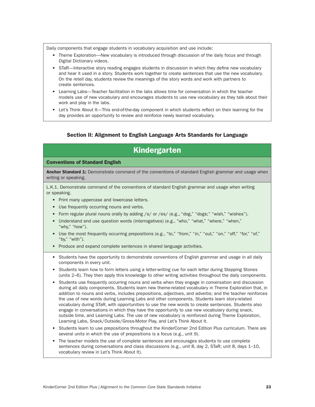Daily components that engage students in vocabulary acquisition and use include:

- Theme Exploration—New vocabulary is introduced through discussion of the daily focus and through Digital Dictionary videos.
- STaR—Interactive story reading engages students in discussion in which they define new vocabulary and hear it used in a story. Students work together to create sentences that use the new vocabulary. On the retell day, students review the meanings of the story words and work with partners to create sentences.
- Learning Labs—Teacher facilitation in the labs allows time for conversation in which the teacher models use of new vocabulary and encourages students to use new vocabulary as they talk about their work and play in the labs.
- Let's Think About It—This end-of-the-day component in which students reflect on their learning for the day provides an opportunity to review and reinforce newly learned vocabulary.

### Section II: Alignment to English Language Arts Standards for Language

## Kindergarten

#### Conventions of Standard English

Anchor Standard 1: Demonstrate command of the conventions of standard English grammar and usage when writing or speaking.

L.K.1. Demonstrate command of the conventions of standard English grammar and usage when writing or speaking.

- Print many uppercase and lowercase letters.
- Use frequently occurring nouns and verbs.
- Form regular plural nouns orally by adding /s/ or /es/ (e.g., "dog," "dogs;" "wish," "wishes").
- Understand and use question words (interrogatives) (e.g., "who," "what," "where," "when," "why," "how").
- Use the most frequently occurring prepositions (e.g., "to," "from," "in," "out," "on," "off," "of," "of," "by," "with").
- Produce and expand complete sentences in shared language activities.
- Students have the opportunity to demonstrate conventions of English grammar and usage in all daily components in every unit.
- Students learn how to form letters using a letter-writing cue for each letter during Stepping Stones (units 2–6). They then apply this knowledge to other writing activities throughout the daily components.
- Students use frequently occurring nouns and verbs when they engage in conversation and discussion during all daily components. Students learn new theme-related vocabulary in Theme Exploration that, in addition to nouns and verbs, includes prepositions, adjectives, and adverbs; and the teacher reinforces the use of new words during Learning Labs and other components. Students learn story-related vocabulary during STaR, with opportunities to use the new words to create sentences. Students also engage in conversations in which they have the opportunity to use new vocabulary during snack, outside time, and Learning Labs. The use of new vocabulary is reinforced during Theme Exploration, Learning Labs, Snack/Outside/Gross-Motor Play, and Let's Think About It.
- Students learn to use prepositions throughout the KinderCorner 2nd Edition Plus curriculum. There are several units in which the use of prepositions is a focus (e.g., unit 9).
- The teacher models the use of complete sentences and encourages students to use complete sentences during conversations and class discussions (e.g., unit 8, day 2, STaR; unit 8, days 1–10, vocabulary review in Let's Think About It).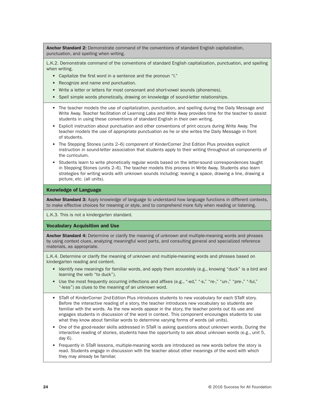Anchor Standard 2: Demonstrate command of the conventions of standard English capitalization, punctuation, and spelling when writing.

L.K.2. Demonstrate command of the conventions of standard English capitalization, punctuation, and spelling when writing.

- Capitalize the first word in a sentence and the pronoun "I."
- Recognize and name end punctuation.
- Write a letter or letters for most consonant and short-vowel sounds (phonemes).
- Spell simple words phonetically, drawing on knowledge of sound-letter relationships.
- The teacher models the use of capitalization, punctuation, and spelling during the Daily Message and Write Away. Teacher facilitation of Learning Labs and Write Away provides time for the teacher to assist students in using these conventions of standard English in their own writing.
- Explicit instruction about punctuation and other conventions of print occurs during Write Away. The teacher models the use of appropriate punctuation as he or she writes the Daily Message in front of students.
- The Stepping Stones (units 2–6) component of KinderCorner 2nd Edition Plus provides explicit instruction in sound-letter association that students apply to their writing throughout all components of the curriculum.
- Students learn to write phonetically regular words based on the letter-sound correspondences taught in Stepping Stones (units 2–6). The teacher models this process in Write Away. Students also learn strategies for writing words with unknown sounds including: leaving a space, drawing a line, drawing a picture, etc. (all units).

#### Knowledge of Language

**Anchor Standard 3:** Apply knowledge of language to understand how language functions in different contexts, to make effective choices for meaning or style, and to comprehend more fully when reading or listening.

L.K.3. This is not a kindergarten standard.

#### Vocabulary Acquisition and Use

Anchor Standard 4: Determine or clarify the meaning of unknown and multiple-meaning words and phrases by using context clues, analyzing meaningful word parts, and consulting general and specialized reference materials, as appropriate.

L.K.4. Determine or clarify the meaning of unknown and multiple-meaning words and phrases based on kindergarten reading and content.

- Identify new meanings for familiar words, and apply them accurately (e.g., knowing "duck" is a bird and learning the verb "to duck").
- Use the most frequently occurring inflections and affixes (e.g., "-ed," "-s," "re-," "un-," "pre-," "-ful," "-less") as clues to the meaning of an unknown word.
- STaR of KinderCorner 2nd Edition Plus introduces students to new vocabulary for each STaR story. Before the interactive reading of a story, the teacher introduces new vocabulary so students are familiar with the words. As the new words appear in the story, the teacher points out its use and engages students in discussion of the word in context. This component encourages students to use what they know about familiar words to determine varying forms of words (all units).
- One of the good-reader skills addressed in STaR is asking questions about unknown words. During the interactive reading of stories, students have the opportunity to ask about unknown words (e.g., unit 5, day 6).
- Frequently in STaR lessons, multiple-meaning words are introduced as new words before the story is read. Students engage in discussion with the teacher about other meanings of the word with which they may already be familiar.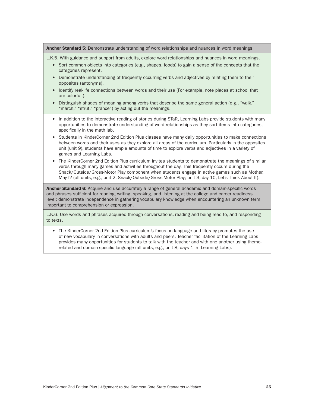#### Anchor Standard 5: Demonstrate understanding of word relationships and nuances in word meanings.

L.K.5. With guidance and support from adults, explore word relationships and nuances in word meanings.

- Sort common objects into categories (e.g., shapes, foods) to gain a sense of the concepts that the categories represent.
- Demonstrate understanding of frequently occurring verbs and adjectives by relating them to their opposites (antonyms).
- Identify real-life connections between words and their use (For example, note places at school that are colorful.).
- Distinguish shades of meaning among verbs that describe the same general action (e.g., "walk," "march," "strut," "prance") by acting out the meanings.
- In addition to the interactive reading of stories during STaR, Learning Labs provide students with many opportunities to demonstrate understanding of word relationships as they sort items into categories, specifically in the math lab.
- Students in KinderCorner 2nd Edition Plus classes have many daily opportunities to make connections between words and their uses as they explore all areas of the curriculum. Particularly in the opposites unit (unit 9), students have ample amounts of time to explore verbs and adjectives in a variety of games and Learning Labs.
- The KinderCorner 2nd Edition Plus curriculum invites students to demonstrate the meanings of similar verbs through many games and activities throughout the day. This frequently occurs during the Snack/Outside/Gross-Motor Play component when students engage in active games such as Mother, May I? (all units, e.g., unit 2, Snack/Outside/Gross-Motor Play; unit 3, day 10, Let's Think About It).

**Anchor Standard 6:** Acquire and use accurately a range of general academic and domain-specific words and phrases sufficient for reading, writing, speaking, and listening at the college and career readiness level; demonstrate independence in gathering vocabulary knowledge when encountering an unknown term important to comprehension or expression.

L.K.6. Use words and phrases acquired through conversations, reading and being read to, and responding to texts.

• The KinderCorner 2nd Edition Plus curriculum's focus on language and literacy promotes the use of new vocabulary in conversations with adults and peers. Teacher facilitation of the Learning Labs provides many opportunities for students to talk with the teacher and with one another using themerelated and domain-specific language (all units, e.g., unit 8, days 1–5, Learning Labs).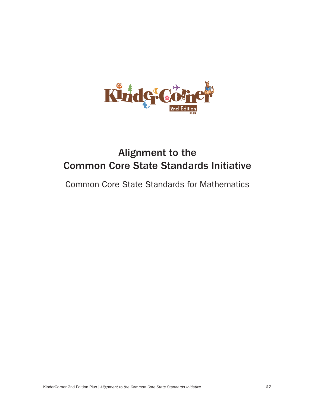

# Alignment to the Common Core State Standards Initiative

Common Core State Standards for Mathematics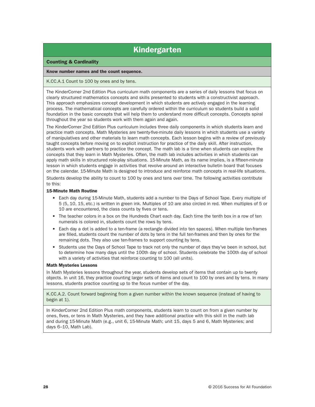## Kindergarten

#### Counting & Cardinality

#### Know number names and the count sequence.

#### K.CC.A.1 Count to 100 by ones and by tens.

The KinderCorner 2nd Edition Plus curriculum math components are a series of daily lessons that focus on clearly structured mathematics concepts and skills presented to students with a constructivist approach. This approach emphasizes concept development in which students are actively engaged in the learning process. The mathematical concepts are carefully ordered within the curriculum so students build a solid foundation in the basic concepts that will help them to understand more difficult concepts. Concepts spiral throughout the year so students work with them again and again.

The KinderCorner 2nd Edition Plus curriculum includes three daily components in which students learn and practice math concepts. Math Mysteries are twenty-five-minute daily lessons in which students use a variety of manipulatives and other materials to learn math concepts. Each lesson begins with a review of previously taught concepts before moving on to explicit instruction for practice of the daily skill. After instruction, students work with partners to practice the concept. The math lab is a time when students can explore the concepts that they learn in Math Mysteries. Often, the math lab includes activities in which students can apply math skills in structured role-play situations. 15-Minute Math, as its name implies, is a fifteen-minute lesson in which students engage in activities that revolve around an interactive bulletin board that focuses on the calendar. 15-Minute Math is designed to introduce and reinforce math concepts in real-life situations.

Students develop the ability to count to 100 by ones and tens over time. The following activities contribute to this:

#### 15-Minute Math Routine

- Each day during 15-Minute Math, students add a number to the Days of School Tape. Every multiple of 5 (5, 10, 15, etc.) is written in green ink. Multiples of 10 are also circled in red. When multiples of 5 or 10 are encountered, the class counts by fives or tens.
- The teacher colors in a box on the Hundreds Chart each day. Each time the tenth box in a row of ten numerals is colored in, students count the rows by tens.
- Each day a dot is added to a ten-frame (a rectangle divided into ten spaces). When multiple ten-frames are filled, students count the number of dots by tens in the full ten-frames and then by ones for the remaining dots. They also use ten-frames to support counting by tens.
- Students use the Days of School Tape to track not only the number of days they've been in school, but to determine how many days until the 100th day of school. Students celebrate the 100th day of school with a variety of activities that reinforce counting to 100 (all units).

#### Math Mysteries Lessons

In Math Mysteries lessons throughout the year, students develop sets of items that contain up to twenty objects. In unit 16, they practice counting larger sets of items and count to 100 by ones and by tens. In many lessons, students practice counting up to the focus number of the day.

K.CC.A.2. Count forward beginning from a given number within the known sequence (instead of having to begin at 1).

In KinderCorner 2nd Edition Plus math components, students learn to count on from a given number by ones, fives, or tens in Math Mysteries, and they have additional practice with this skill in the math lab and during 15-Minute Math (e.g., unit 6, 15-Minute Math; unit 15, days 5 and 6, Math Mysteries; and days 6–10, Math Lab).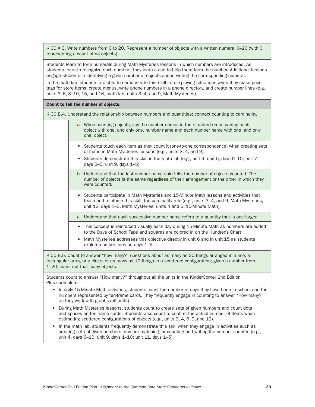K.CC.A.3. Write numbers from 0 to 20. Represent a number of objects with a written numeral 0–20 (with 0 representing a count of no objects)

Students learn to form numerals during Math Mysteries lessons in which numbers are introduced. As students learn to recognize each numeral, they learn a cue to help them form the number. Additional lessons engage students in identifying a given number of objects and in writing the corresponding numeral.

In the math lab, students are able to demonstrate this skill in role-playing situations when they make price tags for store items, create menus, write phone numbers in a phone directory, and create number lines (e.g., units 3–6, 8–10, 15, and 16, math lab; units 3, 4, and 9, Math Mysteries).

Count to tell the number of objects.

K.CC.B.4. Understand the relationship between numbers and quantities; connect counting to cardinality.

- a. When counting objects, say the number names in the standard order, pairing each object with one, and only one, number name and each number name with one, and only one, object.
	- Students touch each item as they count it (one-to-one correspondence) when creating sets of items in Math Mysteries lessons (e.g., units 3, 4, and 9).
	- Students demonstrate this skill in the math lab (e.g., unit 4; unit 5, days 6–10; unit 7, days 2–5; unit 9, days 1–5).
	- b. Understand that the last number name said tells the number of objects counted. The number of objects is the same regardless of their arrangement or the order in which they were counted.
	- Students participate in Math Mysteries and 15-Minute Math lessons and activities that teach and reinforce this skill, the cardinality rule (e.g., units 3, 4, and 9, Math Mysteries; unit 12, days 1–5, Math Mysteries; units 4 and 5, 15-Minute Math).
	- c. Understand that each successive number name refers to a quantity that is one larger.
	- This concept is reinforced visually each day during 15-Minute Math as numbers are added to the Days of School Tape and squares are colored in on the Hundreds Chart.
	- Math Mysteries addresses this objective directly in unit 6 and in unit 15 as students explore number lines on days 1–9.

K.CC.B.5. Count to answer "how many?" questions about as many as 20 things arranged in a line, a rectangular array, or a circle, or as many as 10 things in a scattered configuration; given a number from 1–20, count out that many objects.

Students count to answer "How many?" throughout all the units in the KinderCorner 2nd Edition Plus curriculum.

- In daily 15-Minute Math activities, students count the number of days they have been in school and the numbers represented by ten-frame cards. They frequently engage in counting to answer "How many?" as they work with graphs (all units).
- During Math Mysteries lessons, students count to create sets of given numbers and count dots and spaces on ten-frame cards. Students also count to confirm the actual number of items when estimating scattered configurations of objects (e.g., units 3, 4, 6, 9, and 12).
- In the math lab, students frequently demonstrate this skill when they engage in activities such as creating sets of given numbers, number matching, or counting and writing the number counted (e.g., unit 4, days 6–10; unit 9, days 1–10; unit 11, days 1–5).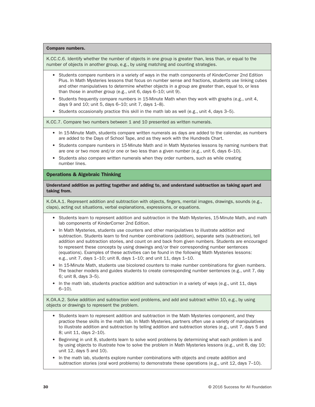#### Compare numbers.

K.CC.C.6. Identify whether the number of objects in one group is greater than, less than, or equal to the number of objects in another group, e.g., by using matching and counting strategies.

- Students compare numbers in a variety of ways in the math components of KinderCorner 2nd Edition Plus. In Math Mysteries lessons that focus on number sense and fractions, students use linking cubes and other manipulatives to determine whether objects in a group are greater than, equal to, or less than those in another group (e.g., unit 6, days 6–10; unit 9).
- Students frequently compare numbers in 15-Minute Math when they work with graphs (e.g., unit 4, days 9 and 10; unit 5, days 6–10; unit 7, days 1–8).
- Students occasionally practice this skill in the math lab as well (e.g., unit 4, days  $3-5$ ).

K.CC.7. Compare two numbers between 1 and 10 presented as written numerals.

- In 15-Minute Math, students compare written numerals as days are added to the calendar, as numbers are added to the Days of School Tape, and as they work with the Hundreds Chart.
- Students compare numbers in 15-Minute Math and in Math Mysteries lessons by naming numbers that are one or two more and/or one or two less than a given number (e.g., unit 6, days 6–10).
- Students also compare written numerals when they order numbers, such as while creating number lines.

#### Operations & Algebraic Thinking

Understand addition as putting together and adding to, and understand subtraction as taking apart and taking from.

K.OA.A.1. Represent addition and subtraction with objects, fingers, mental images, drawings, sounds (e.g., claps), acting out situations, verbal explanations, expressions, or equations.

- Students learn to represent addition and subtraction in the Math Mysteries, 15-Minute Math, and math lab components of KinderCorner 2nd Edition.
- In Math Mysteries, students use counters and other manipulatives to illustrate addition and subtraction. Students learn to find number combinations (addition), separate sets (subtraction), tell addition and subtraction stories, and count on and back from given numbers. Students are encouraged to represent these concepts by using drawings and/or their corresponding number sentences (equations). Examples of these activities can be found in the following Math Mysteries lessons: e.g., unit 7, days 1–10; unit 8, days 1–10; and unit 11, days 1–10.
- In 15-Minute Math, students use bicolored counters to make number combinations for given numbers. The teacher models and guides students to create corresponding number sentences (e.g., unit 7, day 6; unit 8, days 3–5).
- In the math lab, students practice addition and subtraction in a variety of ways (e.g., unit 11, days 6–10).

K.OA.A.2. Solve addition and subtraction word problems, and add and subtract within 10, e.g., by using objects or drawings to represent the problem.

- Students learn to represent addition and subtraction in the Math Mysteries component, and they practice these skills in the math lab. In Math Mysteries, partners often use a variety of manipulatives to illustrate addition and subtraction by telling addition and subtraction stories (e.g., unit 7, days 5 and 8; unit 11, days 2–10).
- Beginning in unit 8, students learn to solve word problems by determining what each problem is and by using objects to illustrate how to solve the problem in Math Mysteries lessons (e.g., unit 8, day 10; unit 12, days 5 and 10).
- In the math lab, students explore number combinations with objects and create addition and subtraction stories (oral word problems) to demonstrate these operations (e.g., unit 12, days 7–10).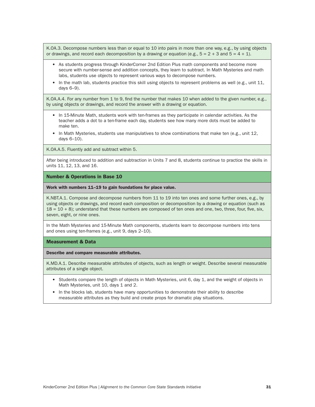K.OA.3. Decompose numbers less than or equal to 10 into pairs in more than one way, e.g., by using objects or drawings, and record each decomposition by a drawing or equation (e.g.,  $5 = 2 + 3$  and  $5 = 4 + 1$ ).

- As students progress through KinderCorner 2nd Edition Plus math components and become more secure with number-sense and addition concepts, they learn to subtract. In Math Mysteries and math labs, students use objects to represent various ways to decompose numbers.
- In the math lab, students practice this skill using objects to represent problems as well (e.g., unit 11, days 6–9).

K.OA.A.4. For any number from 1 to 9, find the number that makes 10 when added to the given number, e.g., by using objects or drawings, and record the answer with a drawing or equation.

- In 15-Minute Math, students work with ten-frames as they participate in calendar activities. As the teacher adds a dot to a ten-frame each day, students see how many more dots must be added to make ten.
- In Math Mysteries, students use manipulatives to show combinations that make ten (e.g., unit 12, days 6–10).

K.OA.A.5. Fluently add and subtract within 5.

After being introduced to addition and subtraction in Units 7 and 8, students continue to practice the skills in units 11, 12, 13, and 16.

#### Number & Operations in Base 10

Work with numbers 11–19 to gain foundations for place value.

K.NBT.A.1. Compose and decompose numbers from 11 to 19 into ten ones and some further ones, e.g., by using objects or drawings, and record each composition or decomposition by a drawing or equation (such as  $18 = 10 + 8$ ); understand that these numbers are composed of ten ones and one, two, three, four, five, six, seven, eight, or nine ones.

In the Math Mysteries and 15-Minute Math components, students learn to decompose numbers into tens and ones using ten-frames (e.g., unit 9, days 2–10).

#### Measurement & Data

Describe and compare measurable attributes.

K.MD.A.1. Describe measurable attributes of objects, such as length or weight. Describe several measurable attributes of a single object.

- Students compare the length of objects in Math Mysteries, unit 6, day 1, and the weight of objects in Math Mysteries, unit 10, days 1 and 2.
- In the blocks lab, students have many opportunities to demonstrate their ability to describe measurable attributes as they build and create props for dramatic play situations.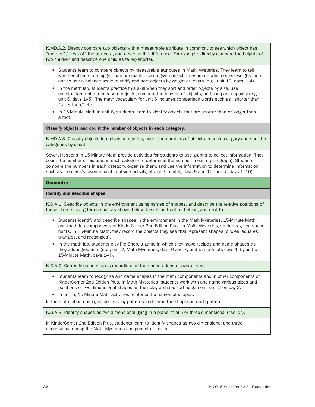K.MD.A.2. Directly compare two objects with a measurable attribute in common, to see which object has "more of"/"less of" the attribute, and describe the difference. For example, directly compare the heights of two children and describe one child as taller/shorter.

- Students learn to compare objects by measurable attributes in Math Mysteries. They learn to tell whether objects are bigger than or smaller than a given object, to estimate which object weighs more, and to use a balance scale to verify and sort objects by weight or length (e.g., unit 10, days 1–4).
- In the math lab, students practice this skill when they sort and order objects by size, use nonstandard units to measure objects, compare the lengths of objects, and compare capacity (e.g., unit 6, days 1–5). The math vocabulary for unit 6 includes comparison words such as "shorter than," "taller than," etc.
- In 15-Minute Math in unit 6, students learn to identify objects that are shorter than or longer than a foot.

Classify objects and count the number of objects in each category.

K.MD.A.3. Classify objects into given categories; count the numbers of objects in each category and sort the categories by count.

Several lessons in 15-Minute Math provide activities for students to use graphs to collect information. They count the number of pictures in each category to determine the number in each (pictograph). Students compare the numbers in each category, organize them, and use the information to determine information, such as the class's favorite lunch, outside activity, etc. (e.g., unit 4, days 9 and 10; unit 7, days 1–10).

#### **Geometry**

#### Identify and describe shapes.

K.G.A.1. Describe objects in the environment using names of shapes, and describe the relative positions of these objects using terms such as above, below, beside, in front of, behind, and next to.

- Students identify and describe shapes in the environment in the Math Mysteries, 15-Minute Math, and math lab components of KinderCorner 2nd Edition Plus. In Math Mysteries, students go on shape hunts. In 15-Minute Math, they record the objects they see that represent shapes (circles, squares, triangles, and rectangles).
- In the math lab, students play Pie Shop, a game in which they make recipes and name shapes as they add ingredients (e.g., unit 2, Math Mysteries, days 6 and 7; unit 5, math lab, days 1–5; unit 5, 15-Minute Math, days 1–4).

K.G.A.2. Correctly name shapes regardless of their orientations or overall size.

- Students learn to recognize and name shapes in the math components and in other components of KinderCorner 2nd Edition Plus. In Math Mysteries, students work with and name various sizes and positions of two-dimensional shapes as they play a shape-sorting game in unit 2 on day 2.
- In unit 5, 15-Minute Math activities reinforce the names of shapes.

In the math lab in unit 5, students copy patterns and name the shapes in each pattern.

K.G.A.3. Identify shapes as two-dimensional (lying in a plane, "flat") or three-dimensional ("solid").

In KinderCorner 2nd Edition Plus, students learn to identify shapes as two dimensional and three dimensional during the Math Mysteries component of unit 5.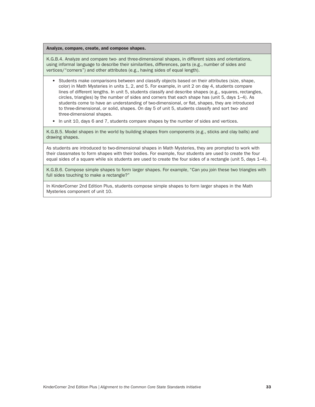Analyze, compare, create, and compose shapes.

K.G.B.4. Analyze and compare two- and three-dimensional shapes, in different sizes and orientations, using informal language to describe their similarities, differences, parts (e.g., number of sides and vertices/"corners") and other attributes (e.g., having sides of equal length).

- Students make comparisons between and classify objects based on their attributes (size, shape, color) in Math Mysteries in units 1, 2, and 5. For example, in unit 2 on day 4, students compare lines of different lengths. In unit 5, students classify and describe shapes (e.g., squares, rectangles, circles, triangles) by the number of sides and corners that each shape has (unit 5, days 1–4). As students come to have an understanding of two-dimensional, or flat, shapes, they are introduced to three-dimensional, or solid, shapes. On day 5 of unit 5, students classify and sort two- and three-dimensional shapes.
- In unit 10, days 6 and 7, students compare shapes by the number of sides and vertices.

K.G.B.5. Model shapes in the world by building shapes from components (e.g., sticks and clay balls) and drawing shapes.

As students are introduced to two-dimensional shapes in Math Mysteries, they are prompted to work with their classmates to form shapes with their bodies. For example, four students are used to create the four equal sides of a square while six students are used to create the four sides of a rectangle (unit 5, days 1–4).

K.G.B.6. Compose simple shapes to form larger shapes. For example, "Can you join these two triangles with full sides touching to make a rectangle?"

In KinderCorner 2nd Edition Plus, students compose simple shapes to form larger shapes in the Math Mysteries component of unit 10.